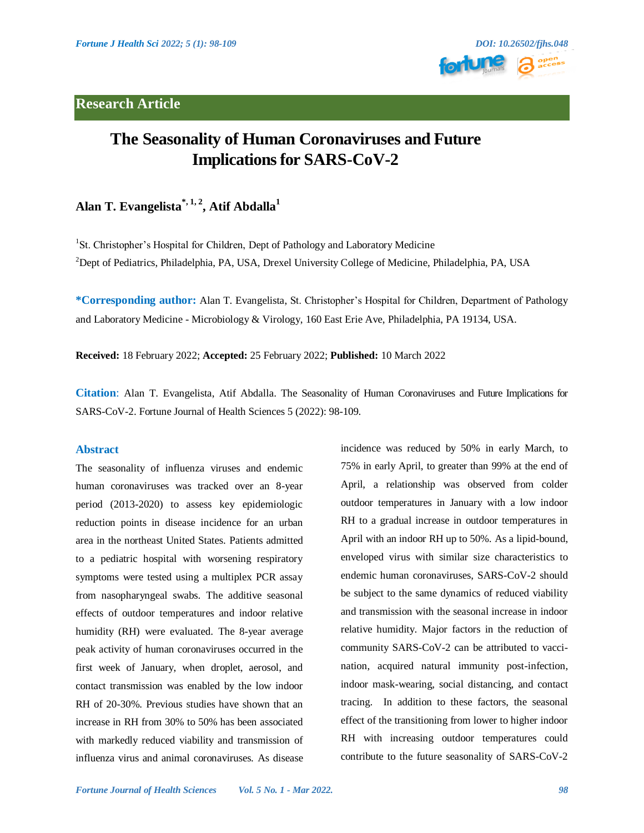# **Research Article**



# **The Seasonality of Human Coronaviruses and Future Implications for SARS-CoV-2**

# **Alan T. Evangelista\*, 1, 2 , Atif Abdalla<sup>1</sup>**

<sup>1</sup>St. Christopher's Hospital for Children, Dept of Pathology and Laboratory Medicine <sup>2</sup>Dept of Pediatrics, Philadelphia, PA, USA, Drexel University College of Medicine, Philadelphia, PA, USA

**\*Corresponding author:** Alan T. Evangelista, St. Christopher's Hospital for Children, Department of Pathology and Laboratory Medicine - Microbiology & Virology, 160 East Erie Ave, Philadelphia, PA 19134, USA.

**Received:** 18 February 2022; **Accepted:** 25 February 2022; **Published:** 10 March 2022

**Citation**: Alan T. Evangelista, Atif Abdalla. The Seasonality of Human Coronaviruses and Future Implications for SARS-CoV-2. Fortune Journal of Health Sciences 5 (2022): 98-109.

### **Abstract**

The seasonality of influenza viruses and endemic human coronaviruses was tracked over an 8-year period (2013-2020) to assess key epidemiologic reduction points in disease incidence for an urban area in the northeast United States. Patients admitted to a pediatric hospital with worsening respiratory symptoms were tested using a multiplex PCR assay from nasopharyngeal swabs. The additive seasonal effects of outdoor temperatures and indoor relative humidity (RH) were evaluated. The 8-year average peak activity of human coronaviruses occurred in the first week of January, when droplet, aerosol, and contact transmission was enabled by the low indoor RH of 20-30%. Previous studies have shown that an increase in RH from 30% to 50% has been associated with markedly reduced viability and transmission of influenza virus and animal coronaviruses. As disease incidence was reduced by 50% in early March, to 75% in early April, to greater than 99% at the end of April, a relationship was observed from colder outdoor temperatures in January with a low indoor RH to a gradual increase in outdoor temperatures in April with an indoor RH up to 50%. As a lipid-bound, enveloped virus with similar size characteristics to endemic human coronaviruses, SARS-CoV-2 should be subject to the same dynamics of reduced viability and transmission with the seasonal increase in indoor relative humidity. Major factors in the reduction of community SARS-CoV-2 can be attributed to vaccination, acquired natural immunity post-infection, indoor mask-wearing, social distancing, and contact tracing. In addition to these factors, the seasonal effect of the transitioning from lower to higher indoor RH with increasing outdoor temperatures could contribute to the future seasonality of SARS-CoV-2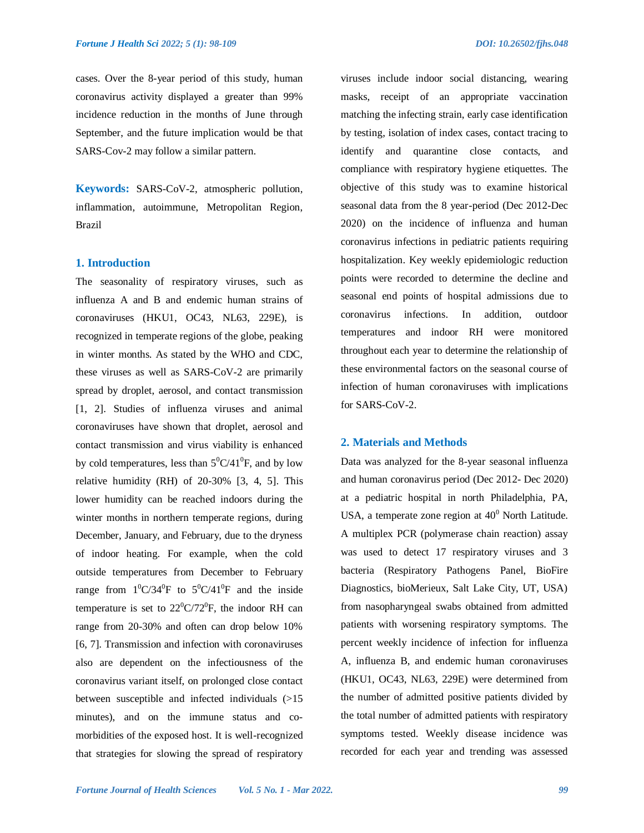cases. Over the 8-year period of this study, human coronavirus activity displayed a greater than 99% incidence reduction in the months of June through September, and the future implication would be that SARS-Cov-2 may follow a similar pattern.

**Keywords:** SARS-CoV-2, atmospheric pollution, inflammation, autoimmune, Metropolitan Region, Brazil

#### **1. Introduction**

The seasonality of respiratory viruses, such as influenza A and B and endemic human strains of coronaviruses (HKU1, OC43, NL63, 229E), is recognized in temperate regions of the globe, peaking in winter months. As stated by the WHO and CDC, these viruses as well as SARS-CoV-2 are primarily spread by droplet, aerosol, and contact transmission [1, 2]. Studies of influenza viruses and animal coronaviruses have shown that droplet, aerosol and contact transmission and virus viability is enhanced by cold temperatures, less than  $5^0C/41^0F$ , and by low relative humidity (RH) of 20-30% [3, 4, 5]. This lower humidity can be reached indoors during the winter months in northern temperate regions, during December, January, and February, due to the dryness of indoor heating. For example, when the cold outside temperatures from December to February range from  $1^0C/34^0F$  to  $5^0C/41^0F$  and the inside temperature is set to  $22^{\circ}C/72^{\circ}F$ , the indoor RH can range from 20-30% and often can drop below 10% [6, 7]. Transmission and infection with coronaviruses also are dependent on the infectiousness of the coronavirus variant itself, on prolonged close contact between susceptible and infected individuals (>15 minutes), and on the immune status and comorbidities of the exposed host. It is well-recognized that strategies for slowing the spread of respiratory

viruses include indoor social distancing, wearing masks, receipt of an appropriate vaccination matching the infecting strain, early case identification by testing, isolation of index cases, contact tracing to identify and quarantine close contacts, and compliance with respiratory hygiene etiquettes. The objective of this study was to examine historical seasonal data from the 8 year-period (Dec 2012-Dec 2020) on the incidence of influenza and human coronavirus infections in pediatric patients requiring hospitalization. Key weekly epidemiologic reduction points were recorded to determine the decline and seasonal end points of hospital admissions due to coronavirus infections. In addition, outdoor temperatures and indoor RH were monitored throughout each year to determine the relationship of these environmental factors on the seasonal course of infection of human coronaviruses with implications for SARS-CoV-2.

# **2. Materials and Methods**

Data was analyzed for the 8-year seasonal influenza and human coronavirus period (Dec 2012- Dec 2020) at a pediatric hospital in north Philadelphia, PA, USA, a temperate zone region at  $40^0$  North Latitude. A multiplex PCR (polymerase chain reaction) assay was used to detect 17 respiratory viruses and 3 bacteria (Respiratory Pathogens Panel, BioFire Diagnostics, bioMerieux, Salt Lake City, UT, USA) from nasopharyngeal swabs obtained from admitted patients with worsening respiratory symptoms. The percent weekly incidence of infection for influenza A, influenza B, and endemic human coronaviruses (HKU1, OC43, NL63, 229E) were determined from the number of admitted positive patients divided by the total number of admitted patients with respiratory symptoms tested. Weekly disease incidence was recorded for each year and trending was assessed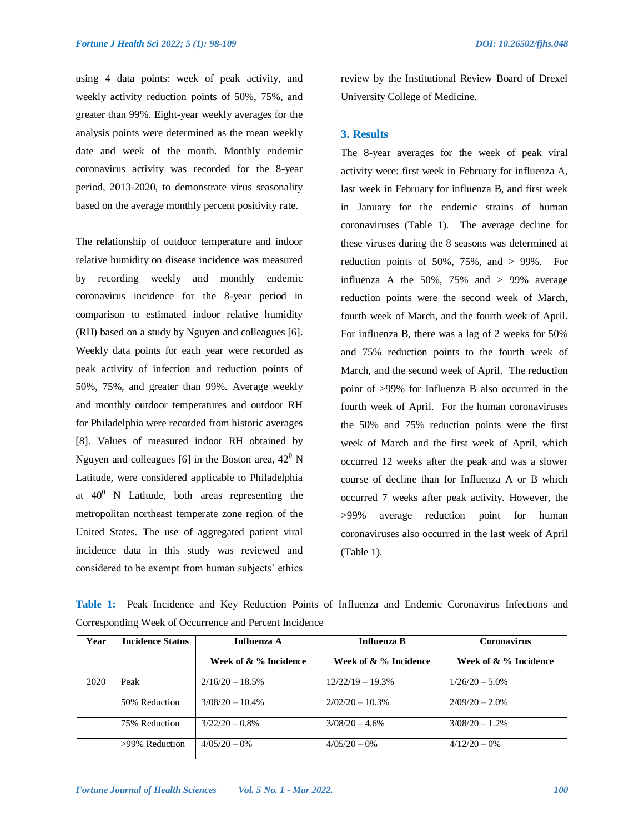using 4 data points: week of peak activity, and weekly activity reduction points of 50%, 75%, and greater than 99%. Eight-year weekly averages for the analysis points were determined as the mean weekly date and week of the month. Monthly endemic coronavirus activity was recorded for the 8-year period, 2013-2020, to demonstrate virus seasonality based on the average monthly percent positivity rate.

The relationship of outdoor temperature and indoor relative humidity on disease incidence was measured by recording weekly and monthly endemic coronavirus incidence for the 8-year period in comparison to estimated indoor relative humidity (RH) based on a study by Nguyen and colleagues [6]. Weekly data points for each year were recorded as peak activity of infection and reduction points of 50%, 75%, and greater than 99%. Average weekly and monthly outdoor temperatures and outdoor RH for Philadelphia were recorded from historic averages [8]. Values of measured indoor RH obtained by Nguyen and colleagues [6] in the Boston area,  $42^{\circ}$  N Latitude, were considered applicable to Philadelphia at  $40^{\circ}$  N Latitude, both areas representing the metropolitan northeast temperate zone region of the United States. The use of aggregated patient viral incidence data in this study was reviewed and considered to be exempt from human subjects' ethics

review by the Institutional Review Board of Drexel University College of Medicine.

#### **3. Results**

The 8-year averages for the week of peak viral activity were: first week in February for influenza A, last week in February for influenza B, and first week in January for the endemic strains of human coronaviruses (Table 1). The average decline for these viruses during the 8 seasons was determined at reduction points of  $50\%$ ,  $75\%$ , and  $> 99\%$ . For influenza A the  $50\%$ ,  $75\%$  and  $> 99\%$  average reduction points were the second week of March, fourth week of March, and the fourth week of April. For influenza B, there was a lag of 2 weeks for 50% and 75% reduction points to the fourth week of March, and the second week of April. The reduction point of >99% for Influenza B also occurred in the fourth week of April. For the human coronaviruses the 50% and 75% reduction points were the first week of March and the first week of April, which occurred 12 weeks after the peak and was a slower course of decline than for Influenza A or B which occurred 7 weeks after peak activity. However, the >99% average reduction point for human coronaviruses also occurred in the last week of April (Table 1).

**Table 1:** Peak Incidence and Key Reduction Points of Influenza and Endemic Coronavirus Infections and Corresponding Week of Occurrence and Percent Incidence

| Year | <b>Incidence Status</b> | Influenza A           | <b>Influenza B</b>    | Coronavirus           |  |
|------|-------------------------|-----------------------|-----------------------|-----------------------|--|
|      |                         | Week of & % Incidence | Week of & % Incidence | Week of & % Incidence |  |
| 2020 | Peak                    | $2/16/20 - 18.5%$     | $12/22/19 - 19.3%$    | $1/26/20 - 5.0\%$     |  |
|      | 50% Reduction           | $3/08/20 - 10.4\%$    | $2/02/20 - 10.3%$     | $2/09/20 - 2.0\%$     |  |
|      | 75% Reduction           | $3/22/20 - 0.8\%$     | $3/08/20 - 4.6%$      | $3/08/20 - 1.2\%$     |  |
|      | >99% Reduction          | $4/05/20-0%$          | $4/05/20-0%$          | $4/12/20 - 0\%$       |  |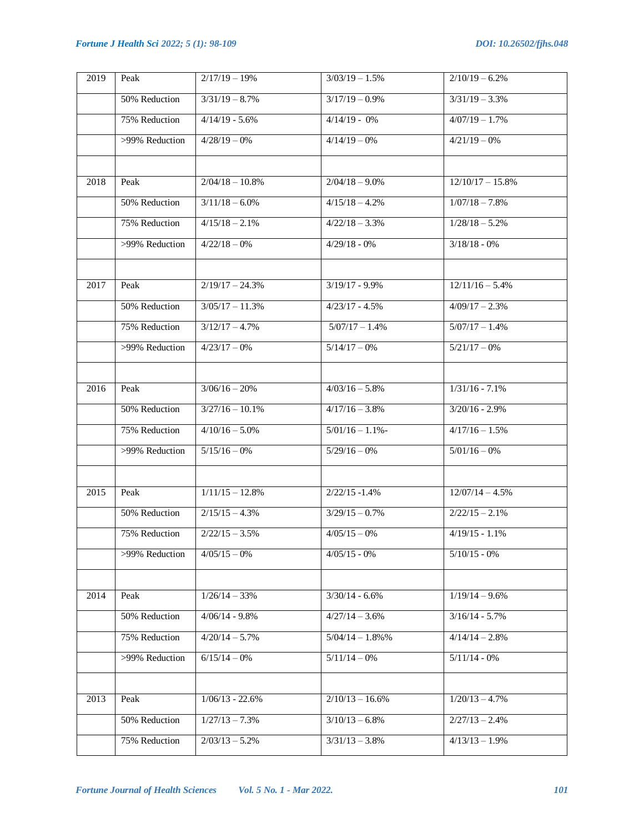| 2019 | Peak           | $2/17/19-19%$     | $3/03/19 - 1.5%$             | $2/10/19 - 6.2%$           |
|------|----------------|-------------------|------------------------------|----------------------------|
|      | 50% Reduction  | $3/31/19 - 8.7%$  | $3/17/19 - 0.9%$             | $3/31/19 - 3.3%$           |
|      | 75% Reduction  | $4/14/19 - 5.6%$  | $4/14/19 - 0%$               | $4/07/19 - 1.7%$           |
|      | >99% Reduction | $4/28/19-0%$      | $4/14/19-0%$                 | $4/21/19-0%$               |
|      |                |                   |                              |                            |
| 2018 | Peak           | $2/04/18 - 10.8%$ | $2/04/18 - 9.0\%$            | $12/10/17 - 15.8%$         |
|      | 50% Reduction  | $3/11/18 - 6.0\%$ | $4/\overline{15/18} - 4.2\%$ | $1/07/18 - 7.8%$           |
|      | 75% Reduction  | $4/15/18 - 2.1%$  | $4/22/18 - 3.3%$             | $1/28/18 - 5.2%$           |
|      | >99% Reduction | $4/22/18-0%$      | $4/29/18 - 0%$               | $3/18/18 - 0%$             |
|      |                |                   |                              |                            |
| 2017 | Peak           | $2/19/17 - 24.3%$ | $3/19/17 - 9.9%$             | $12/11/16 - 5.4%$          |
|      | 50% Reduction  | $3/05/17 - 11.3%$ | $4/23/17 - 4.5%$             | $4/09/17 - 2.3%$           |
|      | 75% Reduction  | $3/12/17 - 4.7%$  | $5/07/17 - 1.4%$             | $5/07/17 - 1.4%$           |
|      | >99% Reduction | $4/23/17-0%$      | $5/14/17-0%$                 | $5/21/17-0%$               |
|      |                |                   |                              |                            |
| 2016 | Peak           | $3/06/16 - 20%$   | $4/03/16 - 5.8%$             | $1/31/16 - 7.1%$           |
|      | 50% Reduction  | $3/27/16 - 10.1%$ | $4/17/16 - 3.8%$             | $3/20/16 - 2.9%$           |
|      | 75% Reduction  | $4/10/16 - 5.0%$  | $5/01/16 - 1.1%$             | $4/17/16 - 1.5%$           |
|      | >99% Reduction | $5/15/16-0%$      | $5/29/16 - 0%$               | $5/01/16 - 0%$             |
|      |                |                   |                              |                            |
| 2015 | Peak           | $1/11/15 - 12.8%$ | $2/22/15 - 1.4%$             | $12/07/14 - 4.5%$          |
|      | 50% Reduction  | $2/15/15 - 4.3\%$ | $3/29/15 - 0.7%$             | $2/22/15 - 2.1%$           |
|      | 75% Reduction  | $2/22/15 - 3.5%$  | $4/05/15-0%$                 | $4/19/15 - 1.1%$           |
|      | >99% Reduction | $4/05/15-0%$      | $4/05/15 - 0%$               | $5/10/15 - 0%$             |
|      |                |                   |                              |                            |
| 2014 | Peak           | $1/26/14 - 33%$   | $3/30/14 - 6.6%$             | $1/19/14 - 9.6%$           |
|      | 50% Reduction  | $4/06/14 - 9.8%$  | $4/27/14 - 3.6%$             | $3/16/14 - 5.7%$           |
|      | 75% Reduction  | $4/20/14 - 5.7%$  | $5/04/14 - 1.8\%$ %          | $4/14/14 - 2.8%$           |
|      | >99% Reduction | $6/15/14-0%$      | $5/11/14-0%$                 | $5/\overline{11/14} - 0\%$ |
|      |                |                   |                              |                            |
| 2013 | Peak           | $1/06/13 - 22.6%$ | $2/10/13 - 16.6%$            | $1/20/13 - 4.7%$           |
|      | 50% Reduction  | $1/27/13 - 7.3%$  | $3/10/13 - 6.8%$             | $2/27/13 - 2.4%$           |
|      | 75% Reduction  | $2/03/13 - 5.2%$  | $3/31/13 - 3.8%$             | $4/13/13 - 1.9%$           |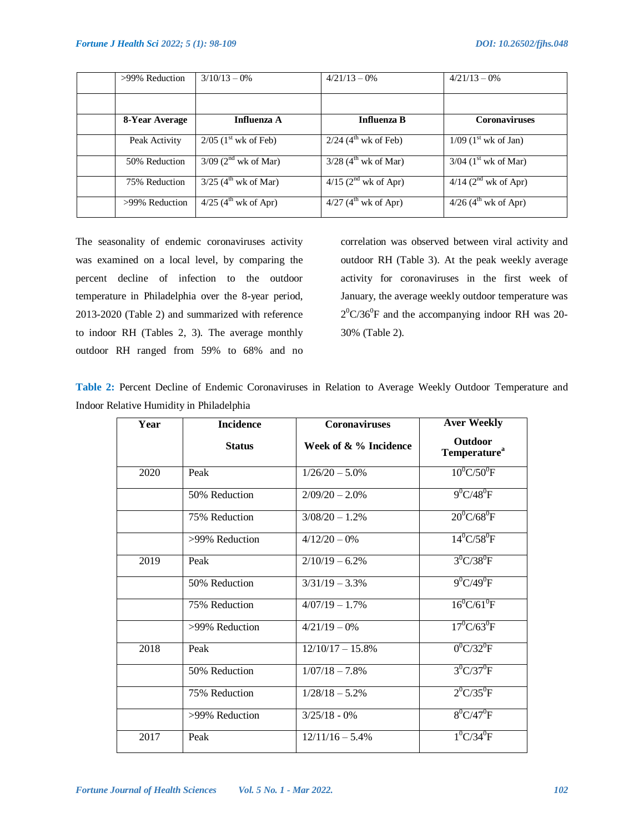| >99% Reduction | $3/10/13 - 0\%$                    | $4/21/13 - 0\%$                               | $4/21/13 - 0\%$                            |
|----------------|------------------------------------|-----------------------------------------------|--------------------------------------------|
|                |                                    |                                               |                                            |
| 8-Year Average | Influenza A                        | <b>Influenza B</b>                            | <b>Coronaviruses</b>                       |
| Peak Activity  | $2/05$ (1 <sup>st</sup> wk of Feb) | $2/24$ (4 <sup>th</sup> wk of Feb)            | $1/09$ (1 <sup>st</sup> wk of Jan)         |
| 50% Reduction  | $3/09$ (2 <sup>nd</sup> wk of Mar) | $3/28$ (4 <sup>th</sup> wk of Mar)            | $\frac{3}{04}$ (1 <sup>st</sup> wk of Mar) |
| 75% Reduction  | $3/25$ (4 <sup>th</sup> wk of Mar) | $4/15$ (2 <sup>nd</sup> wk of Apr)            | $4/14$ (2 <sup>nd</sup> wk of Apr)         |
| >99% Reduction | $4/25$ (4 <sup>th</sup> wk of Apr) | $\overline{4/27}$ (4 <sup>th</sup> wk of Apr) | $4/26$ (4 <sup>th</sup> wk of Apr)         |

The seasonality of endemic coronaviruses activity was examined on a local level, by comparing the percent decline of infection to the outdoor temperature in Philadelphia over the 8-year period, 2013-2020 (Table 2) and summarized with reference to indoor RH (Tables 2, 3). The average monthly outdoor RH ranged from 59% to 68% and no

correlation was observed between viral activity and outdoor RH (Table 3). At the peak weekly average activity for coronaviruses in the first week of January, the average weekly outdoor temperature was  $2^0$ C/36<sup>0</sup>F and the accompanying indoor RH was 20-30% (Table 2).

| Table 2: Percent Decline of Endemic Coronaviruses in Relation to Average Weekly Outdoor Temperature and |  |  |  |
|---------------------------------------------------------------------------------------------------------|--|--|--|
| Indoor Relative Humidity in Philadelphia                                                                |  |  |  |

| Year | <b>Incidence</b> | <b>Coronaviruses</b>  | <b>Aver Weekly</b>                  |
|------|------------------|-----------------------|-------------------------------------|
|      | <b>Status</b>    | Week of & % Incidence | Outdoor<br>Temperature <sup>a</sup> |
| 2020 | Peak             | $1/26/20 - 5.0\%$     | $10^0$ C/50 <sup>0</sup> F          |
|      | 50% Reduction    | $2/09/20 - 2.0\%$     | $9^0C/48^0F$                        |
|      | 75% Reduction    | $3/08/20 - 1.2%$      | $20^0$ C/68 <sup>0</sup> F          |
|      | >99% Reduction   | $4/12/20 - 0\%$       | $14^{0}$ C/58 <sup>0</sup> F        |
| 2019 | Peak             | $2/10/19 - 6.2%$      | $3^{0}$ C/38 <sup>0</sup> F         |
|      | 50% Reduction    | $3/31/19 - 3.3%$      | $9^{0}C/49^{0}F$                    |
|      | 75% Reduction    | $4/07/19-1.7%$        | $16^0$ C/61 <sup>0</sup> F          |
|      | >99% Reduction   | $4/21/19-0%$          | $17^0$ C/63 <sup>0</sup> F          |
| 2018 | Peak             | $12/10/17 - 15.8%$    | $0^0C/32^0F$                        |
|      | 50% Reduction    | $1/07/18 - 7.8%$      | $3^0C/37^0F$                        |
|      | 75% Reduction    | $1/28/18 - 5.2%$      | $2^0C/35^0F$                        |
|      | >99% Reduction   | $3/25/18 - 0\%$       | $8^{0}C/47^{0}F$                    |
| 2017 | Peak             | $12/11/16 - 5.4%$     | $1^{0}C/34^{0}F$                    |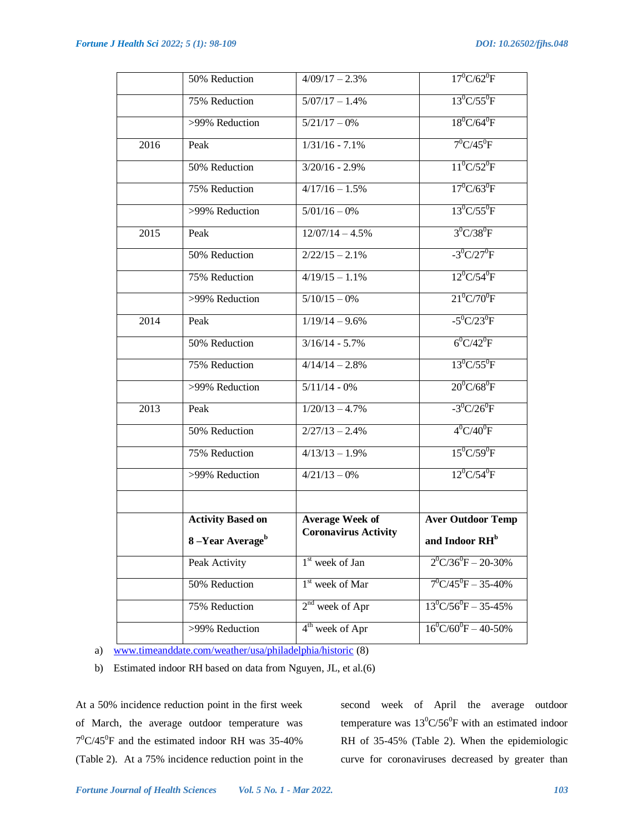|      | 50% Reduction               | $4/09/17 - 2.3%$            | $17^0$ C/62 <sup>0</sup> F          |
|------|-----------------------------|-----------------------------|-------------------------------------|
|      | 75% Reduction               | $5/07/17 - 1.4\%$           | $13^0C/55^0F$                       |
|      | >99% Reduction              | $5/21/17-0%$                | $18^0C/64^0F$                       |
| 2016 | Peak                        | $1/31/16 - 7.1%$            | $7^0C/45^0F$                        |
|      | 50% Reduction               | $3/20/16 - 2.9%$            | $11^0C/52^0F$                       |
|      | 75% Reduction               | $4/17/16 - 1.5%$            | $17^0C/63^0F$                       |
|      | >99% Reduction              | $5/01/16-0%$                | $13^0C/55^0F$                       |
| 2015 | Peak                        | $12/07/14 - 4.5%$           | $3^{0}C/38^{0}F$                    |
|      | 50% Reduction               | $2/22/15 - 2.1%$            | $-3^{0}C/27^{0}F$                   |
|      | 75% Reduction               | $\frac{4}{19/15} - 1.1\%$   | $12^0C/54^0F$                       |
|      | >99% Reduction              | $5/10/15-0%$                | $21^0C/70^0F$                       |
| 2014 | Peak                        | $1/19/14 - 9.6%$            | $-5^{0}C/23^{0}F$                   |
|      | 50% Reduction               | $3/16/14 - 5.7%$            | $6^0C/42^0F$                        |
|      | 75% Reduction               | $4/14/14 - 2.8%$            | $13^0C/55^0F$                       |
|      | $>99\%$ Reduction           | $5/11/14 - 0\%$             | $20^0$ C/68 <sup>0</sup> F          |
| 2013 | Peak                        | $1/20/13 - 4.7%$            | $-3^{0}C/26^{0}F$                   |
|      | 50% Reduction               | $2/27/13 - 2.4%$            | $4^{0}C/40^{0}F$                    |
|      | 75% Reduction               | $4/13/13 - 1.9%$            | $15^0C/59^0F$                       |
|      | >99% Reduction              | $4/21/13 - 0%$              | $12^0C/54^0F$                       |
|      |                             |                             |                                     |
|      | <b>Activity Based on</b>    | <b>Average Week of</b>      | <b>Aver Outdoor Temp</b>            |
|      | 8-Year Average <sup>b</sup> | <b>Coronavirus Activity</b> | and Indoor RH <sup>b</sup>          |
|      | Peak Activity               | $1st$ week of Jan           | $2^{0}C/36^{0}F - 20-30%$           |
|      | 50% Reduction               | 1 <sup>st</sup> week of Mar | $7^0C/45^0F - 35-40\%$              |
|      | 75% Reduction               | $2nd$ week of Apr           | $13^0$ C/56 <sup>0</sup> F - 35-45% |
|      | >99% Reduction              | 4 <sup>th</sup> week of Apr | $16^0$ C/60 <sup>0</sup> F - 40-50% |

a) [www.timeanddate.com/weather/usa/philadelphia/historic](http://www.timeanddate.com/weather/usa/philadelphia/historic) (8)

b) Estimated indoor RH based on data from Nguyen, JL, et al.(6)

At a 50% incidence reduction point in the first week of March, the average outdoor temperature was  $7^0$ C/45<sup>0</sup>F and the estimated indoor RH was 35-40% (Table 2). At a 75% incidence reduction point in the

second week of April the average outdoor temperature was  $13^0C/56^0F$  with an estimated indoor RH of 35-45% (Table 2). When the epidemiologic curve for coronaviruses decreased by greater than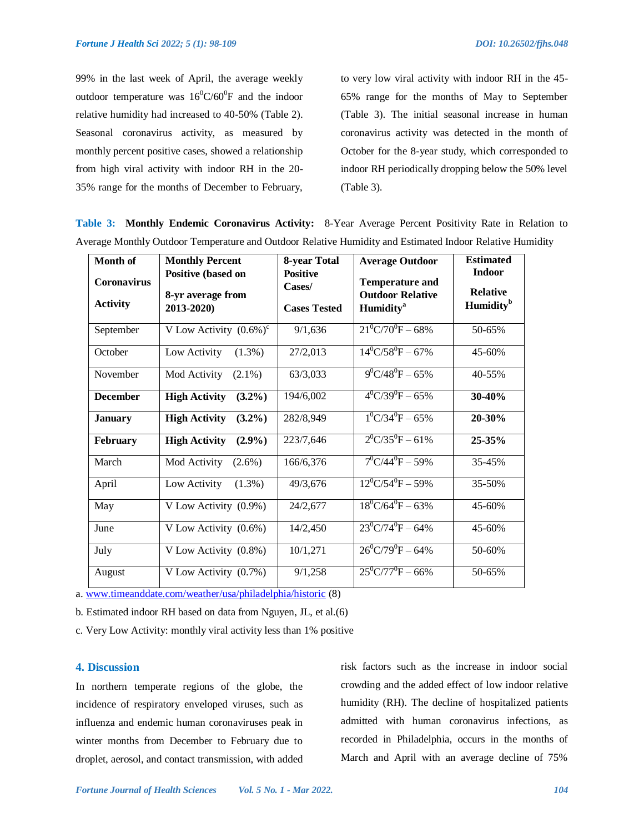99% in the last week of April, the average weekly outdoor temperature was  $16^{\circ}$ C/60<sup>°</sup>F and the indoor relative humidity had increased to 40-50% (Table 2). Seasonal coronavirus activity, as measured by monthly percent positive cases, showed a relationship from high viral activity with indoor RH in the 20- 35% range for the months of December to February,

to very low viral activity with indoor RH in the 45- 65% range for the months of May to September (Table 3). The initial seasonal increase in human coronavirus activity was detected in the month of October for the 8-year study, which corresponded to indoor RH periodically dropping below the 50% level (Table 3).

**Table 3: Monthly Endemic Coronavirus Activity:** 8-Year Average Percent Positivity Rate in Relation to Average Monthly Outdoor Temperature and Outdoor Relative Humidity and Estimated Indoor Relative Humidity

| <b>Month of</b>                       | <b>Monthly Percent</b>                  | 8-year Total              | <b>Average Outdoor</b>                            | <b>Estimated</b><br><b>Indoor</b>        |
|---------------------------------------|-----------------------------------------|---------------------------|---------------------------------------------------|------------------------------------------|
| <b>Coronavirus</b><br><b>Activity</b> | Positive (based on<br>8-yr average from | <b>Positive</b><br>Cases/ | <b>Temperature and</b><br><b>Outdoor Relative</b> | <b>Relative</b><br>Humidity <sup>b</sup> |
|                                       | 2013-2020)                              | <b>Cases Tested</b>       | <b>Humidity</b> <sup>a</sup>                      |                                          |
| September                             | V Low Activity $(0.6\%)^c$              | 9/1,636                   | $21^0C/70^0F - 68\%$                              | 50-65%                                   |
| October                               | Low Activity<br>$(1.3\%)$               | 27/2,013                  | $14^{0}$ C/58 <sup>0</sup> F – 67%                | $45 - 60%$                               |
| November                              | Mod Activity<br>$(2.1\%)$               | 63/3.033                  | $9^0C/48^0F - 65%$                                | 40-55%                                   |
| <b>December</b>                       | <b>High Activity</b><br>$(3.2\%)$       | 194/6,002                 | $4^{0}$ C/39 <sup>0</sup> F – 65%                 | $30-40%$                                 |
| <b>January</b>                        | <b>High Activity</b><br>$(3.2\%)$       | 282/8,949                 | $1^{0}$ C/34 <sup>0</sup> F – 65%                 | 20-30%                                   |
| February                              | <b>High Activity</b><br>$(2.9\%)$       | 223/7,646                 | $2^{0}C/35^{0}F - 61\%$                           | $25 - 35%$                               |
| March                                 | Mod Activity<br>$(2.6\%)$               | 166/6,376                 | $7^0C/44^0F - 59\%$                               | 35-45%                                   |
| April                                 | Low Activity<br>$(1.3\%)$               | 49/3,676                  | $12^0C/54^0F - 59\%$                              | 35-50%                                   |
| May                                   | V Low Activity (0.9%)                   | 24/2,677                  | $18^{\circ}$ C/64 <sup>°</sup> F – 63%            | $45 - 60%$                               |
| June                                  | V Low Activity (0.6%)                   | 14/2,450                  | $23^0C/74^0F - 64\%$                              | 45-60%                                   |
| July                                  | V Low Activity (0.8%)                   | 10/1,271                  | $26^{\circ}$ C/79 <sup>°</sup> F – 64%            | 50-60%                                   |
| August                                | V Low Activity (0.7%)                   | 9/1,258                   | $25^0C/77^0F - 66\%$                              | 50-65%                                   |

a[. www.timeanddate.com/weather/usa/philadelphia/historic](http://www.timeanddate.com/weather/usa/philadelphia/historic) (8)

b. Estimated indoor RH based on data from Nguyen, JL, et al.(6)

c. Very Low Activity: monthly viral activity less than 1% positive

### **4. Discussion**

In northern temperate regions of the globe, the incidence of respiratory enveloped viruses, such as influenza and endemic human coronaviruses peak in winter months from December to February due to droplet, aerosol, and contact transmission, with added risk factors such as the increase in indoor social crowding and the added effect of low indoor relative humidity (RH). The decline of hospitalized patients admitted with human coronavirus infections, as recorded in Philadelphia, occurs in the months of March and April with an average decline of 75%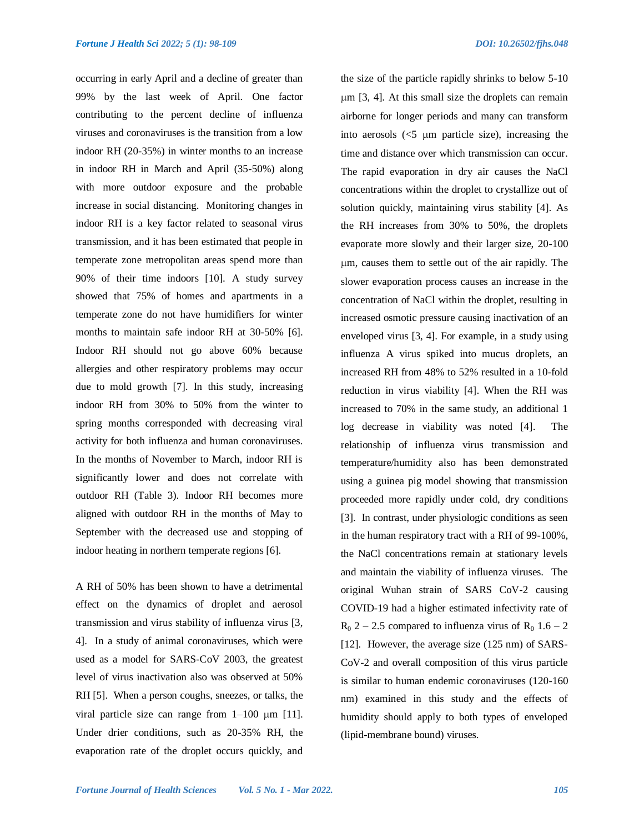occurring in early April and a decline of greater than 99% by the last week of April. One factor contributing to the percent decline of influenza viruses and coronaviruses is the transition from a low indoor RH (20-35%) in winter months to an increase in indoor RH in March and April (35-50%) along with more outdoor exposure and the probable increase in social distancing. Monitoring changes in indoor RH is a key factor related to seasonal virus transmission, and it has been estimated that people in temperate zone metropolitan areas spend more than 90% of their time indoors [10]. A study survey showed that 75% of homes and apartments in a temperate zone do not have humidifiers for winter months to maintain safe indoor RH at 30-50% [6]. Indoor RH should not go above 60% because allergies and other respiratory problems may occur due to mold growth [7]. In this study, increasing indoor RH from 30% to 50% from the winter to spring months corresponded with decreasing viral activity for both influenza and human coronaviruses. In the months of November to March, indoor RH is significantly lower and does not correlate with outdoor RH (Table 3). Indoor RH becomes more aligned with outdoor RH in the months of May to September with the decreased use and stopping of indoor heating in northern temperate regions [6].

A RH of 50% has been shown to have a detrimental effect on the dynamics of droplet and aerosol transmission and virus stability of influenza virus [3, 4]. In a study of animal coronaviruses, which were used as a model for SARS-CoV 2003, the greatest level of virus inactivation also was observed at 50% RH [5]. When a person coughs, sneezes, or talks, the viral particle size can range from  $1-100 \mu m$  [11]. Under drier conditions, such as 20-35% RH, the evaporation rate of the droplet occurs quickly, and

the size of the particle rapidly shrinks to below 5-10  $\mu$ m [3, 4]. At this small size the droplets can remain airborne for longer periods and many can transform into aerosols  $\langle 5 \mu m \rangle$  particle size), increasing the time and distance over which transmission can occur. The rapid evaporation in dry air causes the NaCl concentrations within the droplet to crystallize out of solution quickly, maintaining virus stability [4]. As the RH increases from 30% to 50%, the droplets evaporate more slowly and their larger size, 20-100 m, causes them to settle out of the air rapidly. The slower evaporation process causes an increase in the concentration of NaCl within the droplet, resulting in increased osmotic pressure causing inactivation of an enveloped virus [3, 4]. For example, in a study using influenza A virus spiked into mucus droplets, an increased RH from 48% to 52% resulted in a 10-fold reduction in virus viability [4]. When the RH was increased to 70% in the same study, an additional 1 log decrease in viability was noted [4]. The relationship of influenza virus transmission and temperature/humidity also has been demonstrated using a guinea pig model showing that transmission proceeded more rapidly under cold, dry conditions [3]. In contrast, under physiologic conditions as seen in the human respiratory tract with a RH of 99-100%, the NaCl concentrations remain at stationary levels and maintain the viability of influenza viruses. The original Wuhan strain of SARS CoV-2 causing COVID-19 had a higher estimated infectivity rate of  $R_0$  2 – 2.5 compared to influenza virus of  $R_0$  1.6 – 2 [12]. However, the average size (125 nm) of SARS-CoV-2 and overall composition of this virus particle is similar to human endemic coronaviruses (120-160 nm) examined in this study and the effects of humidity should apply to both types of enveloped (lipid-membrane bound) viruses.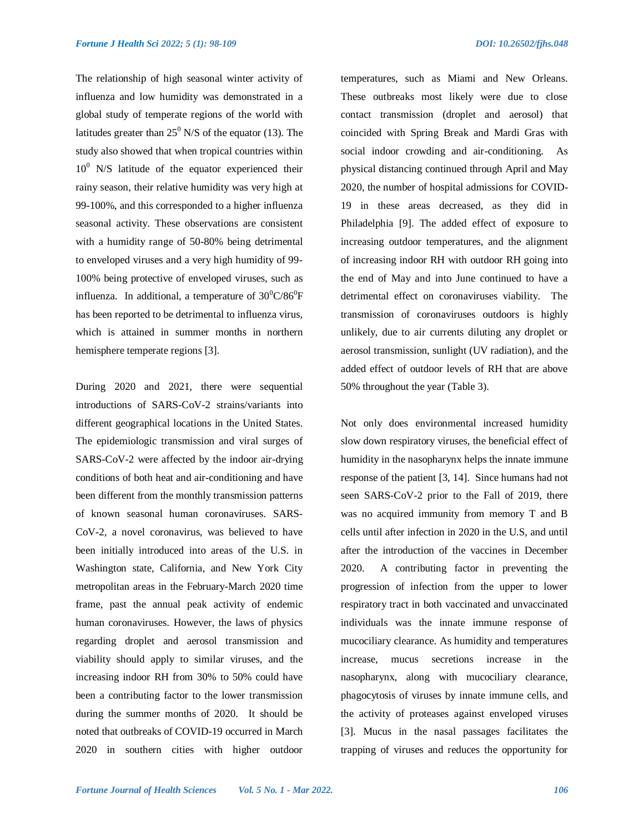The relationship of high seasonal winter activity of influenza and low humidity was demonstrated in a global study of temperate regions of the world with latitudes greater than  $25^{\circ}$  N/S of the equator (13). The study also showed that when tropical countries within  $10^{\circ}$  N/S latitude of the equator experienced their rainy season, their relative humidity was very high at 99-100%, and this corresponded to a higher influenza seasonal activity. These observations are consistent with a humidity range of 50-80% being detrimental to enveloped viruses and a very high humidity of 99- 100% being protective of enveloped viruses, such as influenza. In additional, a temperature of  $30^0C/86^0F$ has been reported to be detrimental to influenza virus, which is attained in summer months in northern hemisphere temperate regions [3].

During 2020 and 2021, there were sequential introductions of SARS-CoV-2 strains/variants into different geographical locations in the United States. The epidemiologic transmission and viral surges of SARS-CoV-2 were affected by the indoor air-drying conditions of both heat and air-conditioning and have been different from the monthly transmission patterns of known seasonal human coronaviruses. SARS-CoV-2, a novel coronavirus, was believed to have been initially introduced into areas of the U.S. in Washington state, California, and New York City metropolitan areas in the February-March 2020 time frame, past the annual peak activity of endemic human coronaviruses. However, the laws of physics regarding droplet and aerosol transmission and viability should apply to similar viruses, and the increasing indoor RH from 30% to 50% could have been a contributing factor to the lower transmission during the summer months of 2020. It should be noted that outbreaks of COVID-19 occurred in March 2020 in southern cities with higher outdoor

temperatures, such as Miami and New Orleans. These outbreaks most likely were due to close contact transmission (droplet and aerosol) that coincided with Spring Break and Mardi Gras with social indoor crowding and air-conditioning. As physical distancing continued through April and May 2020, the number of hospital admissions for COVID-19 in these areas decreased, as they did in Philadelphia [9]. The added effect of exposure to increasing outdoor temperatures, and the alignment of increasing indoor RH with outdoor RH going into the end of May and into June continued to have a detrimental effect on coronaviruses viability. The transmission of coronaviruses outdoors is highly unlikely, due to air currents diluting any droplet or aerosol transmission, sunlight (UV radiation), and the added effect of outdoor levels of RH that are above 50% throughout the year (Table 3).

Not only does environmental increased humidity slow down respiratory viruses, the beneficial effect of humidity in the nasopharynx helps the innate immune response of the patient [3, 14]. Since humans had not seen SARS-CoV-2 prior to the Fall of 2019, there was no acquired immunity from memory T and B cells until after infection in 2020 in the U.S, and until after the introduction of the vaccines in December 2020. A contributing factor in preventing the progression of infection from the upper to lower respiratory tract in both vaccinated and unvaccinated individuals was the innate immune response of mucociliary clearance. As humidity and temperatures increase, mucus secretions increase in the nasopharynx, along with mucociliary clearance, phagocytosis of viruses by innate immune cells, and the activity of proteases against enveloped viruses [3]. Mucus in the nasal passages facilitates the trapping of viruses and reduces the opportunity for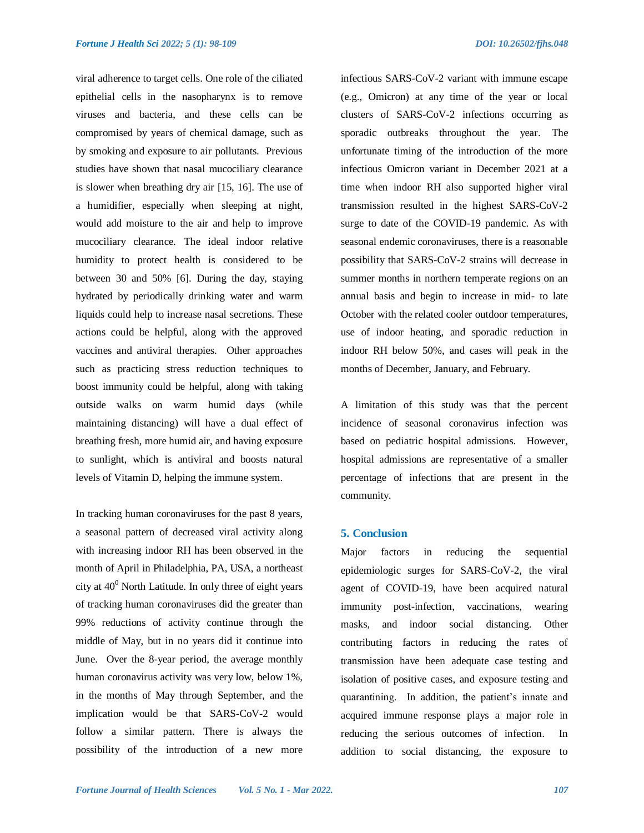viral adherence to target cells. One role of the ciliated epithelial cells in the nasopharynx is to remove viruses and bacteria, and these cells can be compromised by years of chemical damage, such as by smoking and exposure to air pollutants. Previous studies have shown that nasal mucociliary clearance is slower when breathing dry air [15, 16]. The use of a humidifier, especially when sleeping at night, would add moisture to the air and help to improve mucociliary clearance. The ideal indoor relative humidity to protect health is considered to be between 30 and 50% [6]. During the day, staying hydrated by periodically drinking water and warm liquids could help to increase nasal secretions. These actions could be helpful, along with the approved vaccines and antiviral therapies. Other approaches such as practicing stress reduction techniques to boost immunity could be helpful, along with taking outside walks on warm humid days (while maintaining distancing) will have a dual effect of breathing fresh, more humid air, and having exposure to sunlight, which is antiviral and boosts natural levels of Vitamin D, helping the immune system.

In tracking human coronaviruses for the past 8 years, a seasonal pattern of decreased viral activity along with increasing indoor RH has been observed in the month of April in Philadelphia, PA, USA, a northeast city at  $40^{\circ}$  North Latitude. In only three of eight years of tracking human coronaviruses did the greater than 99% reductions of activity continue through the middle of May, but in no years did it continue into June. Over the 8-year period, the average monthly human coronavirus activity was very low, below 1%, in the months of May through September, and the implication would be that SARS-CoV-2 would follow a similar pattern. There is always the possibility of the introduction of a new more

infectious SARS-CoV-2 variant with immune escape (e.g., Omicron) at any time of the year or local clusters of SARS-CoV-2 infections occurring as sporadic outbreaks throughout the year. The unfortunate timing of the introduction of the more infectious Omicron variant in December 2021 at a time when indoor RH also supported higher viral transmission resulted in the highest SARS-CoV-2 surge to date of the COVID-19 pandemic. As with seasonal endemic coronaviruses, there is a reasonable possibility that SARS-CoV-2 strains will decrease in summer months in northern temperate regions on an annual basis and begin to increase in mid- to late October with the related cooler outdoor temperatures, use of indoor heating, and sporadic reduction in indoor RH below 50%, and cases will peak in the months of December, January, and February.

A limitation of this study was that the percent incidence of seasonal coronavirus infection was based on pediatric hospital admissions. However, hospital admissions are representative of a smaller percentage of infections that are present in the community.

#### **5. Conclusion**

Major factors in reducing the sequential epidemiologic surges for SARS-CoV-2, the viral agent of COVID-19, have been acquired natural immunity post-infection, vaccinations, wearing masks, and indoor social distancing. Other contributing factors in reducing the rates of transmission have been adequate case testing and isolation of positive cases, and exposure testing and quarantining. In addition, the patient's innate and acquired immune response plays a major role in reducing the serious outcomes of infection. In addition to social distancing, the exposure to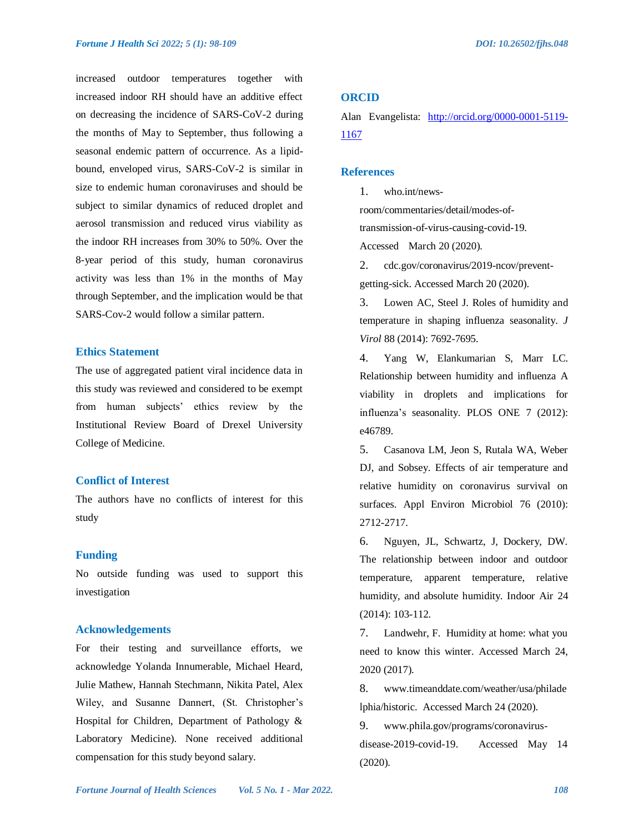increased outdoor temperatures together with increased indoor RH should have an additive effect on decreasing the incidence of SARS-CoV-2 during the months of May to September, thus following a seasonal endemic pattern of occurrence. As a lipidbound, enveloped virus, SARS-CoV-2 is similar in size to endemic human coronaviruses and should be subject to similar dynamics of reduced droplet and aerosol transmission and reduced virus viability as the indoor RH increases from 30% to 50%. Over the 8-year period of this study, human coronavirus activity was less than 1% in the months of May through September, and the implication would be that SARS-Cov-2 would follow a similar pattern.

# **Ethics Statement**

The use of aggregated patient viral incidence data in this study was reviewed and considered to be exempt from human subjects' ethics review by the Institutional Review Board of Drexel University College of Medicine.

# **Conflict of Interest**

The authors have no conflicts of interest for this study

#### **Funding**

No outside funding was used to support this investigation

# **Acknowledgements**

For their testing and surveillance efforts, we acknowledge Yolanda Innumerable, Michael Heard, Julie Mathew, Hannah Stechmann, Nikita Patel, Alex Wiley, and Susanne Dannert, (St. Christopher's Hospital for Children, Department of Pathology & Laboratory Medicine). None received additional compensation for this study beyond salary.

# **ORCID**

Alan Evangelista: [http://orcid.org/0000-0001-5119-](http://orcid.org/0000-0001-5119-1167) [1167](http://orcid.org/0000-0001-5119-1167)

### **References**

1. who.int/news-

room/commentaries/detail/modes-of-

transmission-of-virus-causing-covid-19.

Accessed March 20 (2020).

2. cdc.gov/coronavirus/2019-ncov/preventgetting-sick. Accessed March 20 (2020).

3. Lowen AC, Steel J. Roles of humidity and temperature in shaping influenza seasonality. *J Virol* 88 (2014): 7692-7695.

4. Yang W, Elankumarian S, Marr LC. Relationship between humidity and influenza A viability in droplets and implications for influenza's seasonality. PLOS ONE 7 (2012): e46789.

5. Casanova LM, Jeon S, Rutala WA, Weber DJ, and Sobsey. Effects of air temperature and relative humidity on coronavirus survival on surfaces. Appl Environ Microbiol 76 (2010): 2712-2717.

6. Nguyen, JL, Schwartz, J, Dockery, DW. The relationship between indoor and outdoor temperature, apparent temperature, relative humidity, and absolute humidity. Indoor Air 24 (2014): 103-112.

7. Landwehr, F. Humidity at home: what you need to know this winter. Accessed March 24, 2020 (2017).

8. www.timeanddate.com/weather/usa/philade lphia/historic. Accessed March 24 (2020).

9. www.phila.gov/programs/coronavirusdisease-2019-covid-19. Accessed May 14 (2020).